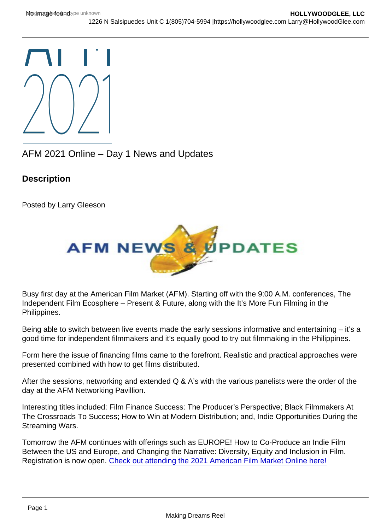## AFM 2021 Online – Day 1 News and Updates

**Description** 

Posted by Larry Gleeson

Busy first day at the American Film Market (AFM). Starting off with the 9:00 A.M. conferences, The Independent Film Ecosphere – Present & Future, along with the It's More Fun Filming in the Philippines.

Being able to switch between live events made the early sessions informative and entertaining – it's a good time for independent filmmakers and it's equally good to try out filmmaking in the Philippines.

Form here the issue of financing films came to the forefront. Realistic and practical approaches were presented combined with how to get films distributed.

After the sessions, networking and extended Q & A's with the various panelists were the order of the day at the AFM Networking Pavillion.

Interesting titles included: Film Finance Success: The Producer's Perspective; Black Filmmakers At The Crossroads To Success; How to Win at Modern Distribution; and, Indie Opportunities During the Streaming Wars.

Tomorrow the AFM continues with offerings such as EUROPE! How to Co-Produce an Indie Film Between the US and Europe, and Changing the Narrative: Diversity, Equity and Inclusion in Film. Registration is now open. [Check out attending the 2021 American Film Market Online here!](https://americanfilmmarket.com/attendee/)